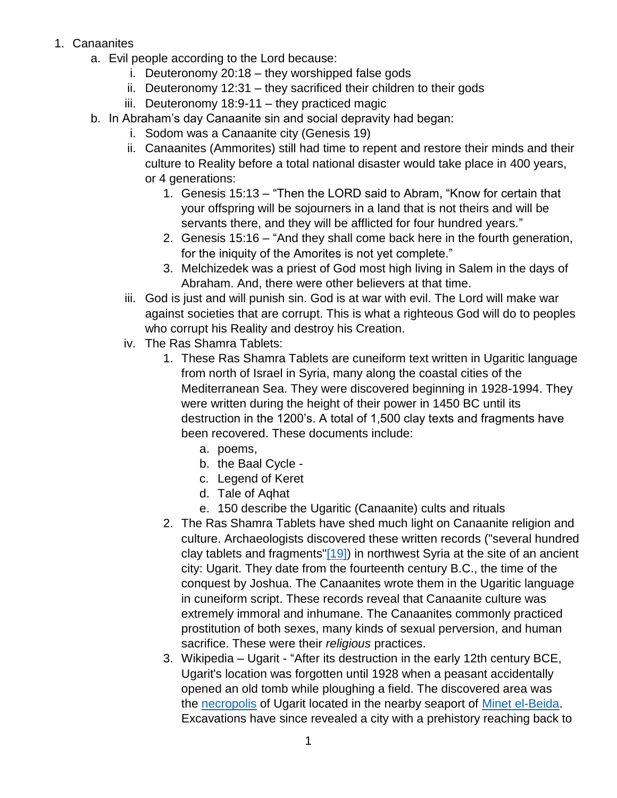- 1. Canaanites
	- a. Evil people according to the Lord because:
		- i. Deuteronomy 20:18 they worshipped false gods
		- ii. Deuteronomy 12:31 they sacrificed their children to their gods
		- iii. Deuteronomy 18:9-11 they practiced magic
	- b. In Abraham's day Canaanite sin and social depravity had began:
		- i. Sodom was a Canaanite city (Genesis 19)
		- ii. Canaanites (Ammorites) still had time to repent and restore their minds and their culture to Reality before a total national disaster would take place in 400 years, or 4 generations:
			- 1. Genesis 15:13 "Then the LORD said to Abram, "Know for certain that your offspring will be sojourners in a land that is not theirs and will be servants there, and they will be afflicted for four hundred years."
			- 2. Genesis 15:16 "And they shall come back here in the fourth generation, for the iniquity of the Amorites is not yet complete."
			- 3. Melchizedek was a priest of God most high living in Salem in the days of Abraham. And, there were other believers at that time.
		- iii. God is just and will punish sin. God is at war with evil. The Lord will make war against societies that are corrupt. This is what a righteous God will do to peoples who corrupt his Reality and destroy his Creation.
		- iv. The Ras Shamra Tablets:
			- 1. These Ras Shamra Tablets are cuneiform text written in Ugaritic language from north of Israel in Syria, many along the coastal cities of the Mediterranean Sea. They were discovered beginning in 1928-1994. They were written during the height of their power in 1450 BC until its destruction in the 1200's. A total of 1,500 clay texts and fragments have been recovered. These documents include:
				- a. poems,
				- b. the Baal Cycle -
				- c. Legend of Keret
				- d. Tale of Aqhat
				- e. 150 describe the Ugaritic (Canaanite) cults and rituals
			- 2. The Ras Shamra Tablets have shed much light on Canaanite religion and culture. Archaeologists discovered these written records ("several hundred clay tablets and fragments["\[19\]\)](https://www.planobiblechapel.org/tcon/notes/html/ot/joshua/joshua.htm#_ftn19) in northwest Syria at the site of an ancient city: Ugarit. They date from the fourteenth century B.C., the time of the conquest by Joshua. The Canaanites wrote them in the Ugaritic language in cuneiform script. These records reveal that Canaanite culture was extremely immoral and inhumane. The Canaanites commonly practiced prostitution of both sexes, many kinds of sexual perversion, and human sacrifice. These were their *religious* practices.
			- 3. Wikipedia Ugarit "After its destruction in the early 12th century BCE, Ugarit's location was forgotten until 1928 when a peasant accidentally opened an old tomb while ploughing a field. The discovered area was the [necropolis](https://en.wikipedia.org/wiki/Necropolis) of Ugarit located in the nearby seaport of [Minet el-Beida.](https://en.wikipedia.org/wiki/Minet_el-Beida) Excavations have since revealed a city with a prehistory reaching back to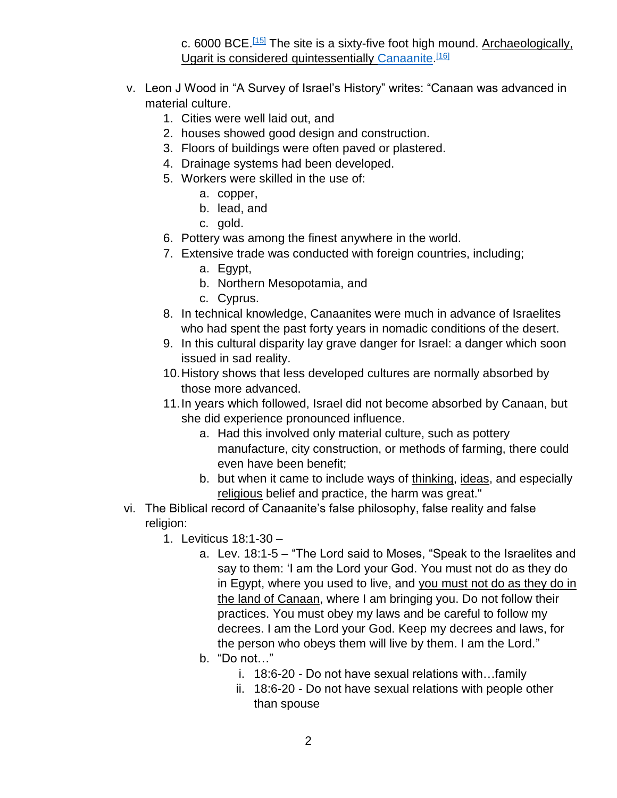c. 6000 BCE.<sup>[\[15\]](https://en.wikipedia.org/wiki/Ugarit#cite_note-MargueriteYon-15)</sup> The site is a sixty-five foot high mound. Archaeologically, Ugarit is considered quintessentially [Canaanite.](https://en.wikipedia.org/wiki/Canaan)<sup>[\[16\]](https://en.wikipedia.org/wiki/Ugarit#cite_note-16)</sup>

- v. Leon J Wood in "A Survey of Israel's History" writes: "Canaan was advanced in material culture.
	- 1. Cities were well laid out, and
	- 2. houses showed good design and construction.
	- 3. Floors of buildings were often paved or plastered.
	- 4. Drainage systems had been developed.
	- 5. Workers were skilled in the use of:
		- a. copper,
		- b. lead, and
		- c. gold.
	- 6. Pottery was among the finest anywhere in the world.
	- 7. Extensive trade was conducted with foreign countries, including;
		- a. Egypt,
		- b. Northern Mesopotamia, and
		- c. Cyprus.
	- 8. In technical knowledge, Canaanites were much in advance of Israelites who had spent the past forty years in nomadic conditions of the desert.
	- 9. In this cultural disparity lay grave danger for Israel: a danger which soon issued in sad reality.
	- 10.History shows that less developed cultures are normally absorbed by those more advanced.
	- 11.In years which followed, Israel did not become absorbed by Canaan, but she did experience pronounced influence.
		- a. Had this involved only material culture, such as pottery manufacture, city construction, or methods of farming, there could even have been benefit;
		- b. but when it came to include ways of thinking, ideas, and especially religious belief and practice, the harm was great."
- vi. The Biblical record of Canaanite's false philosophy, false reality and false religion:
	- 1. Leviticus 18:1-30
		- a. Lev. 18:1-5 "The Lord said to Moses, "Speak to the Israelites and say to them: 'I am the Lord your God. You must not do as they do in Egypt, where you used to live, and you must not do as they do in the land of Canaan, where I am bringing you. Do not follow their practices. You must obey my laws and be careful to follow my decrees. I am the Lord your God. Keep my decrees and laws, for the person who obeys them will live by them. I am the Lord."
		- b. "Do not…"
			- i. 18:6-20 Do not have sexual relations with…family
			- ii. 18:6-20 Do not have sexual relations with people other than spouse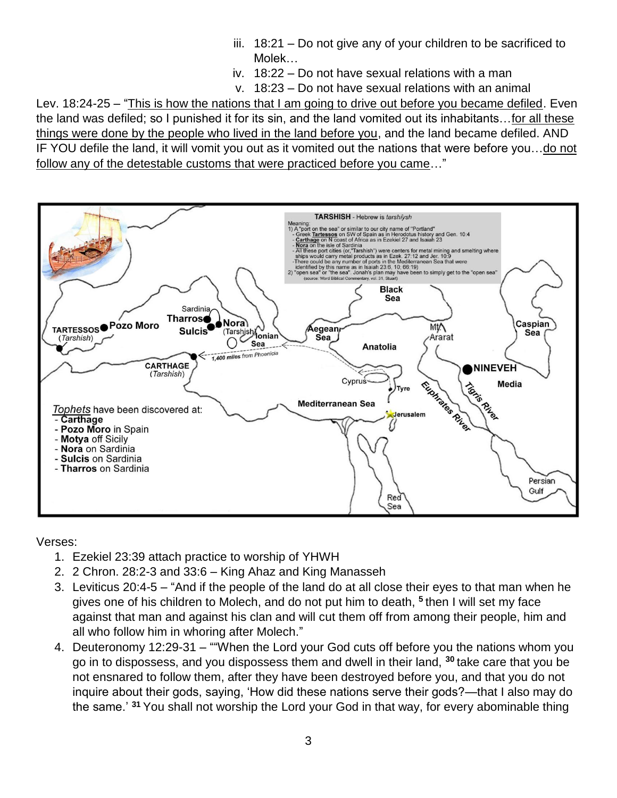- iii. 18:21 Do not give any of your children to be sacrificed to Molek…
- iv. 18:22 Do not have sexual relations with a man
- v. 18:23 Do not have sexual relations with an animal

Lev. 18:24-25 – "This is how the nations that I am going to drive out before you became defiled. Even the land was defiled; so I punished it for its sin, and the land vomited out its inhabitants…for all these things were done by the people who lived in the land before you, and the land became defiled. AND IF YOU defile the land, it will vomit you out as it vomited out the nations that were before you…do not follow any of the detestable customs that were practiced before you came…"



Verses:

- 1. Ezekiel 23:39 attach practice to worship of YHWH
- 2. 2 Chron. 28:2-3 and 33:6 King Ahaz and King Manasseh
- 3. Leviticus 20:4-5 "And if the people of the land do at all close their eyes to that man when he gives one of his children to Molech, and do not put him to death, **<sup>5</sup>** then I will set my face against that man and against his clan and will cut them off from among their people, him and all who follow him in whoring after Molech."
- 4. Deuteronomy 12:29-31 ""When the Lord your God cuts off before you the nations whom you go in to dispossess, and you dispossess them and dwell in their land, **<sup>30</sup>** take care that you be not ensnared to follow them, after they have been destroyed before you, and that you do not inquire about their gods, saying, 'How did these nations serve their gods?—that I also may do the same.' **<sup>31</sup>** You shall not worship the Lord your God in that way, for every abominable thing